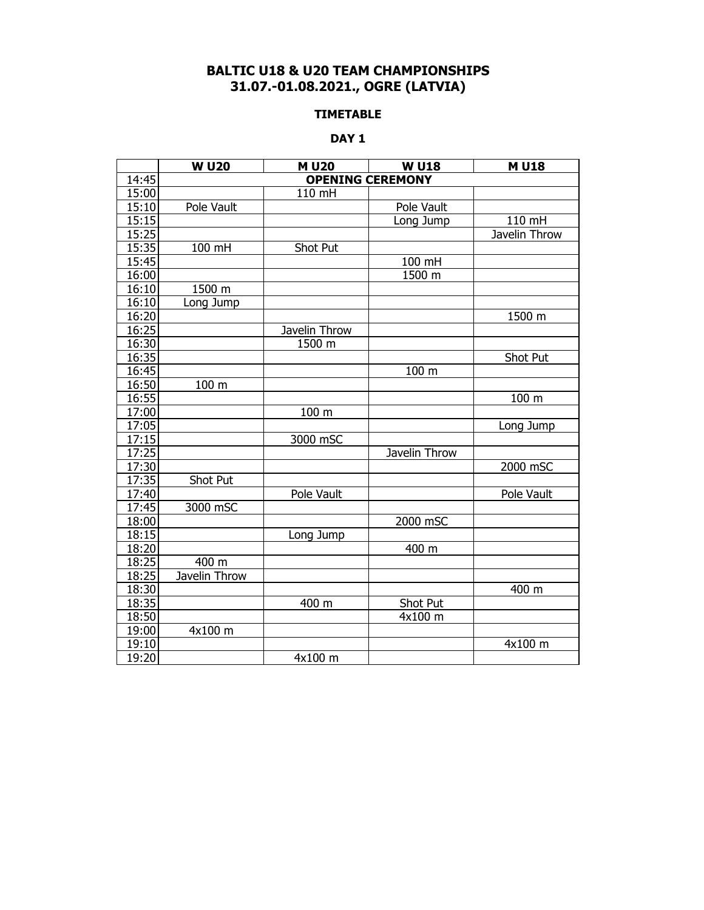# **BALTIC U18 & U20 TEAM CHAMPIONSHIPS 31.07.-01.08.2021., OGRE (LATVIA)**

### **TIMETABLE**

### **DAY 1**

|       | <b>W U20</b>            | <b>MU20</b>   | <b>W U18</b>  | <b>MU18</b>   |  |  |  |  |
|-------|-------------------------|---------------|---------------|---------------|--|--|--|--|
| 14:45 | <b>OPENING CEREMONY</b> |               |               |               |  |  |  |  |
| 15:00 |                         | 110 mH        |               |               |  |  |  |  |
| 15:10 | Pole Vault              |               | Pole Vault    |               |  |  |  |  |
| 15:15 |                         |               | Long Jump     | 110 mH        |  |  |  |  |
| 15:25 |                         |               |               | Javelin Throw |  |  |  |  |
| 15:35 | 100 mH                  | Shot Put      |               |               |  |  |  |  |
| 15:45 |                         |               | 100 mH        |               |  |  |  |  |
| 16:00 |                         |               | 1500 m        |               |  |  |  |  |
| 16:10 | $1500 \; m$             |               |               |               |  |  |  |  |
| 16:10 | Long Jump               |               |               |               |  |  |  |  |
| 16:20 |                         |               |               | 1500 m        |  |  |  |  |
| 16:25 |                         | Javelin Throw |               |               |  |  |  |  |
| 16:30 |                         | 1500 m        |               |               |  |  |  |  |
| 16:35 |                         |               |               | Shot Put      |  |  |  |  |
| 16:45 |                         |               | 100 m         |               |  |  |  |  |
| 16:50 | 100 m                   |               |               |               |  |  |  |  |
| 16:55 |                         |               |               | 100 m         |  |  |  |  |
| 17:00 |                         | 100 m         |               |               |  |  |  |  |
| 17:05 |                         |               |               | Long Jump     |  |  |  |  |
| 17:15 |                         | 3000 mSC      |               |               |  |  |  |  |
| 17:25 |                         |               | Javelin Throw |               |  |  |  |  |
| 17:30 |                         |               |               | 2000 mSC      |  |  |  |  |
| 17:35 | Shot Put                |               |               |               |  |  |  |  |
| 17:40 |                         | Pole Vault    |               | Pole Vault    |  |  |  |  |
| 17:45 | 3000 mSC                |               |               |               |  |  |  |  |
| 18:00 |                         |               | 2000 mSC      |               |  |  |  |  |
| 18:15 |                         | Long Jump     |               |               |  |  |  |  |
| 18:20 |                         |               | 400 m         |               |  |  |  |  |
| 18:25 | 400 m                   |               |               |               |  |  |  |  |
| 18:25 | Javelin Throw           |               |               |               |  |  |  |  |
| 18:30 |                         |               |               | 400 m         |  |  |  |  |
| 18:35 |                         | 400 m         | Shot Put      |               |  |  |  |  |
| 18:50 |                         |               | 4x100 m       |               |  |  |  |  |
| 19:00 | 4x100 m                 |               |               |               |  |  |  |  |
| 19:10 |                         |               |               | 4x100 m       |  |  |  |  |
| 19:20 |                         | 4x100 m       |               |               |  |  |  |  |